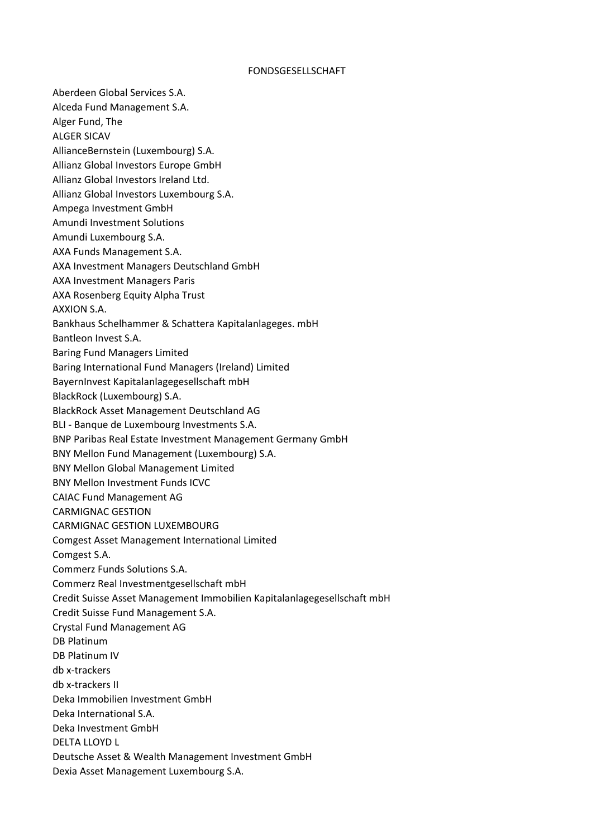## FONDSGESELLSCHAFT

Aberdeen Global Services S.A. Alceda Fund Management S.A. Alger Fund, The ALGER SICAV AllianceBernstein (Luxembourg) S.A. Allianz Global Investors Europe GmbH Allianz Global Investors Ireland Ltd. Allianz Global Investors Luxembourg S.A. Ampega Investment GmbH Amundi Investment Solutions Amundi Luxembourg S.A. AXA Funds Management S.A. AXA Investment Managers Deutschland GmbH AXA Investment Managers Paris AXA Rosenberg Equity Alpha Trust AXXION S.A. Bankhaus Schelhammer & Schattera Kapitalanlageges. mbH Bantleon Invest S.A. Baring Fund Managers Limited Baring International Fund Managers (Ireland) Limited BayernInvest Kapitalanlagegesellschaft mbH BlackRock (Luxembourg) S.A. BlackRock Asset Management Deutschland AG BLI - Banque de Luxembourg Investments S.A. BNP Paribas Real Estate Investment Management Germany GmbH BNY Mellon Fund Management (Luxembourg) S.A. BNY Mellon Global Management Limited BNY Mellon Investment Funds ICVC CAIAC Fund Management AG CARMIGNAC GESTION CARMIGNAC GESTION LUXEMBOURG Comgest Asset Management International Limited Comgest S.A. Commerz Funds Solutions S.A. Commerz Real Investmentgesellschaft mbH Credit Suisse Asset Management Immobilien Kapitalanlagegesellschaft mbH Credit Suisse Fund Management S.A. Crystal Fund Management AG DB Platinum DB Platinum IV db x-trackers db x-trackers II Deka Immobilien Investment GmbH Deka International S.A. Deka Investment GmbH DELTA LLOYD L Deutsche Asset & Wealth Management Investment GmbH Dexia Asset Management Luxembourg S.A.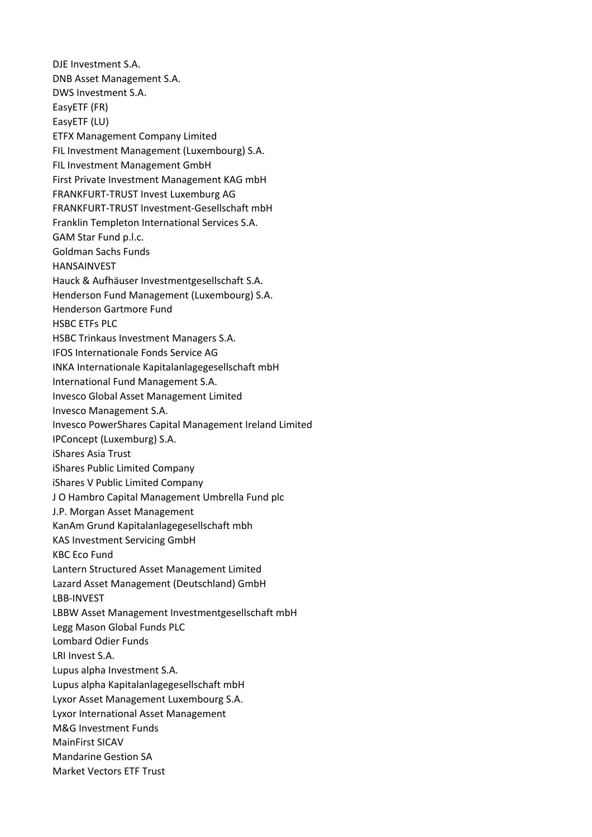DJE Investment S.A. DNB Asset Management S.A. DWS Investment S.A. EasyETF (FR) EasyETF (LU) ETFX Management Company Limited FIL Investment Management (Luxembourg) S.A. FIL Investment Management GmbH First Private Investment Management KAG mbH FRANKFURT-TRUST Invest Luxemburg AG FRANKFURT-TRUST Investment-Gesellschaft mbH Franklin Templeton International Services S.A. GAM Star Fund p.l.c. Goldman Sachs Funds HANSAINVEST Hauck & Aufhäuser Investmentgesellschaft S.A. Henderson Fund Management (Luxembourg) S.A. Henderson Gartmore Fund HSBC ETFs PLC HSBC Trinkaus Investment Managers S.A. IFOS Internationale Fonds Service AG INKA Internationale Kapitalanlagegesellschaft mbH International Fund Management S.A. Invesco Global Asset Management Limited Invesco Management S.A. Invesco PowerShares Capital Management Ireland Limited IPConcept (Luxemburg) S.A. iShares Asia Trust iShares Public Limited Company iShares V Public Limited Company J O Hambro Capital Management Umbrella Fund plc J.P. Morgan Asset Management KanAm Grund Kapitalanlagegesellschaft mbh KAS Investment Servicing GmbH KBC Eco Fund Lantern Structured Asset Management Limited Lazard Asset Management (Deutschland) GmbH LBB-INVEST LBBW Asset Management Investmentgesellschaft mbH Legg Mason Global Funds PLC Lombard Odier Funds LRI Invest S.A. Lupus alpha Investment S.A. Lupus alpha Kapitalanlagegesellschaft mbH Lyxor Asset Management Luxembourg S.A. Lyxor International Asset Management M&G Investment Funds MainFirst SICAV Mandarine Gestion SA Market Vectors ETF Trust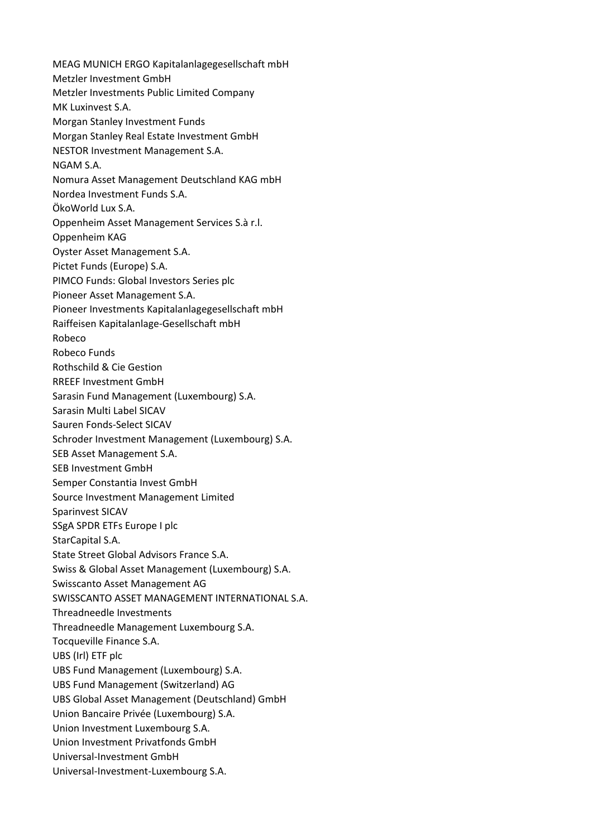MEAG MUNICH ERGO Kapitalanlagegesellschaft mbH Metzler Investment GmbH Metzler Investments Public Limited Company MK Luxinvest S.A. Morgan Stanley Investment Funds Morgan Stanley Real Estate Investment GmbH NESTOR Investment Management S.A. NGAM S.A. Nomura Asset Management Deutschland KAG mbH Nordea Investment Funds S.A. ÖkoWorld Lux S.A. Oppenheim Asset Management Services S.à r.l. Oppenheim KAG Oyster Asset Management S.A. Pictet Funds (Europe) S.A. PIMCO Funds: Global Investors Series plc Pioneer Asset Management S.A. Pioneer Investments Kapitalanlagegesellschaft mbH Raiffeisen Kapitalanlage-Gesellschaft mbH Robeco Robeco Funds Rothschild & Cie Gestion RREEF Investment GmbH Sarasin Fund Management (Luxembourg) S.A. Sarasin Multi Label SICAV Sauren Fonds-Select SICAV Schroder Investment Management (Luxembourg) S.A. SEB Asset Management S.A. SEB Investment GmbH Semper Constantia Invest GmbH Source Investment Management Limited Sparinvest SICAV SSgA SPDR ETFs Europe I plc StarCapital S.A. State Street Global Advisors France S.A. Swiss & Global Asset Management (Luxembourg) S.A. Swisscanto Asset Management AG SWISSCANTO ASSET MANAGEMENT INTERNATIONAL S.A. Threadneedle Investments Threadneedle Management Luxembourg S.A. Tocqueville Finance S.A. UBS (Irl) ETF plc UBS Fund Management (Luxembourg) S.A. UBS Fund Management (Switzerland) AG UBS Global Asset Management (Deutschland) GmbH Union Bancaire Privée (Luxembourg) S.A. Union Investment Luxembourg S.A. Union Investment Privatfonds GmbH Universal-Investment GmbH Universal-Investment-Luxembourg S.A.